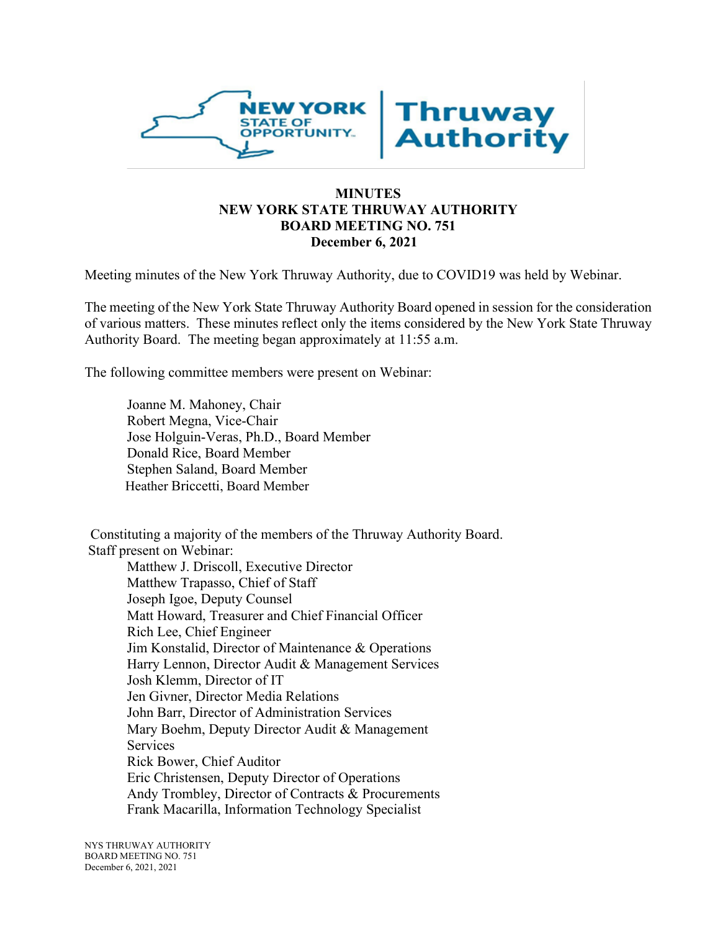

### **MINUTES NEW YORK STATE THRUWAY AUTHORITY BOARD MEETING NO. 751 December 6, 2021**

Meeting minutes of the New York Thruway Authority, due to COVID19 was held by Webinar.

The meeting of the New York State Thruway Authority Board opened in session for the consideration of various matters. These minutes reflect only the items considered by the New York State Thruway Authority Board. The meeting began approximately at 11:55 a.m.

The following committee members were present on Webinar:

Joanne M. Mahoney, Chair Robert Megna, Vice-Chair Jose Holguin-Veras, Ph.D., Board Member Donald Rice, Board Member Stephen Saland, Board Member Heather Briccetti, Board Member

Constituting a majority of the members of the Thruway Authority Board. Staff present on Webinar:

Matthew J. Driscoll, Executive Director Matthew Trapasso, Chief of Staff Joseph Igoe, Deputy Counsel Matt Howard, Treasurer and Chief Financial Officer Rich Lee, Chief Engineer Jim Konstalid, Director of Maintenance & Operations Harry Lennon, Director Audit & Management Services Josh Klemm, Director of IT Jen Givner, Director Media Relations John Barr, Director of Administration Services Mary Boehm, Deputy Director Audit & Management **Services** Rick Bower, Chief Auditor Eric Christensen, Deputy Director of Operations Andy Trombley, Director of Contracts & Procurements Frank Macarilla, Information Technology Specialist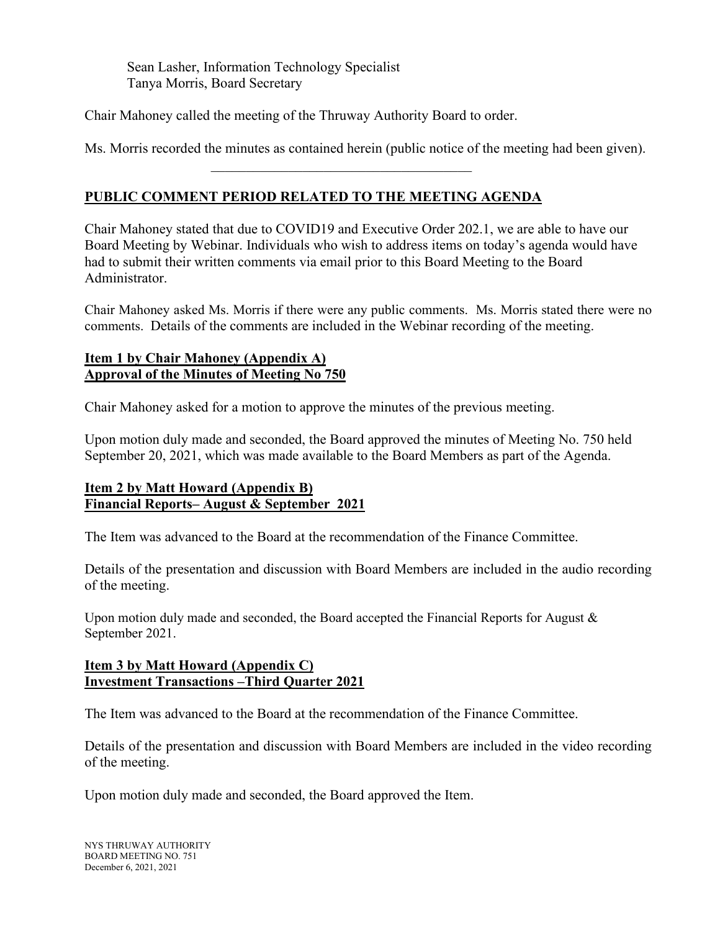Sean Lasher, Information Technology Specialist Tanya Morris, Board Secretary

Chair Mahoney called the meeting of the Thruway Authority Board to order.

Ms. Morris recorded the minutes as contained herein (public notice of the meeting had been given).

# **PUBLIC COMMENT PERIOD RELATED TO THE MEETING AGENDA**

Chair Mahoney stated that due to COVID19 and Executive Order 202.1, we are able to have our Board Meeting by Webinar. Individuals who wish to address items on today's agenda would have had to submit their written comments via email prior to this Board Meeting to the Board Administrator.

Chair Mahoney asked Ms. Morris if there were any public comments. Ms. Morris stated there were no comments. Details of the comments are included in the Webinar recording of the meeting.

## **Item 1 by Chair Mahoney (Appendix A) Approval of the Minutes of Meeting No 750**

Chair Mahoney asked for a motion to approve the minutes of the previous meeting.

Upon motion duly made and seconded, the Board approved the minutes of Meeting No. 750 held September 20, 2021, which was made available to the Board Members as part of the Agenda.

# **Item 2 by Matt Howard (Appendix B) Financial Reports– August & September 2021**

The Item was advanced to the Board at the recommendation of the Finance Committee.

Details of the presentation and discussion with Board Members are included in the audio recording of the meeting.

Upon motion duly made and seconded, the Board accepted the Financial Reports for August  $\&$ September 2021.

# **Item 3 by Matt Howard (Appendix C) Investment Transactions –Third Quarter 2021**

The Item was advanced to the Board at the recommendation of the Finance Committee.

Details of the presentation and discussion with Board Members are included in the video recording of the meeting.

Upon motion duly made and seconded, the Board approved the Item.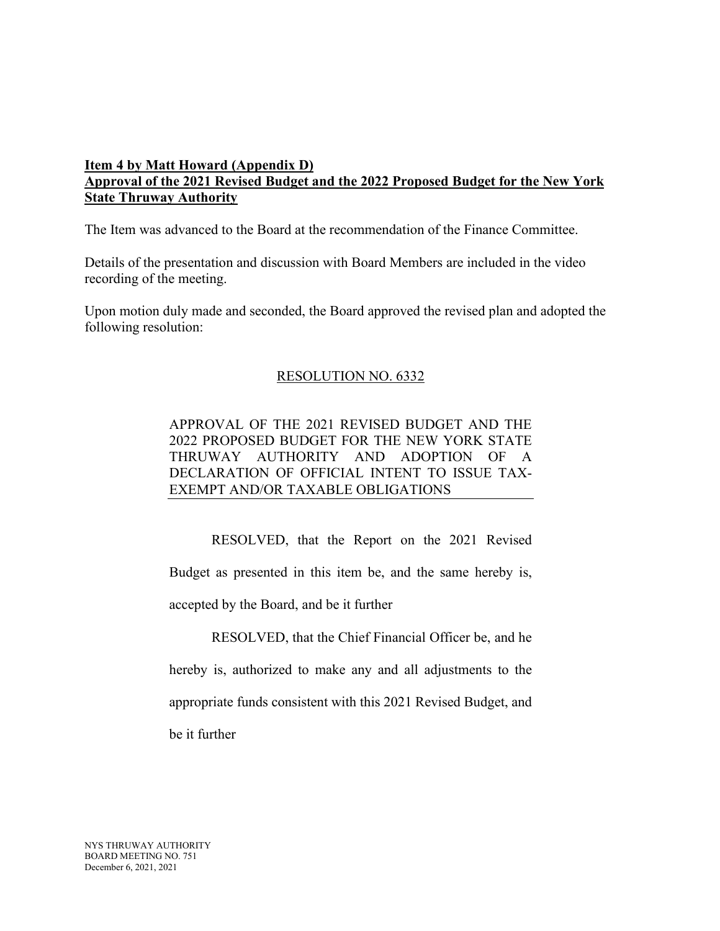# **Item 4 by Matt Howard (Appendix D) Approval of the 2021 Revised Budget and the 2022 Proposed Budget for the New York State Thruway Authority**

The Item was advanced to the Board at the recommendation of the Finance Committee.

Details of the presentation and discussion with Board Members are included in the video recording of the meeting.

Upon motion duly made and seconded, the Board approved the revised plan and adopted the following resolution:

### RESOLUTION NO. 6332

APPROVAL OF THE 2021 REVISED BUDGET AND THE 2022 PROPOSED BUDGET FOR THE NEW YORK STATE THRUWAY AUTHORITY AND ADOPTION OF A DECLARATION OF OFFICIAL INTENT TO ISSUE TAX-EXEMPT AND/OR TAXABLE OBLIGATIONS

RESOLVED, that the Report on the 2021 Revised Budget as presented in this item be, and the same hereby is, accepted by the Board, and be it further

RESOLVED, that the Chief Financial Officer be, and he hereby is, authorized to make any and all adjustments to the appropriate funds consistent with this 2021 Revised Budget, and be it further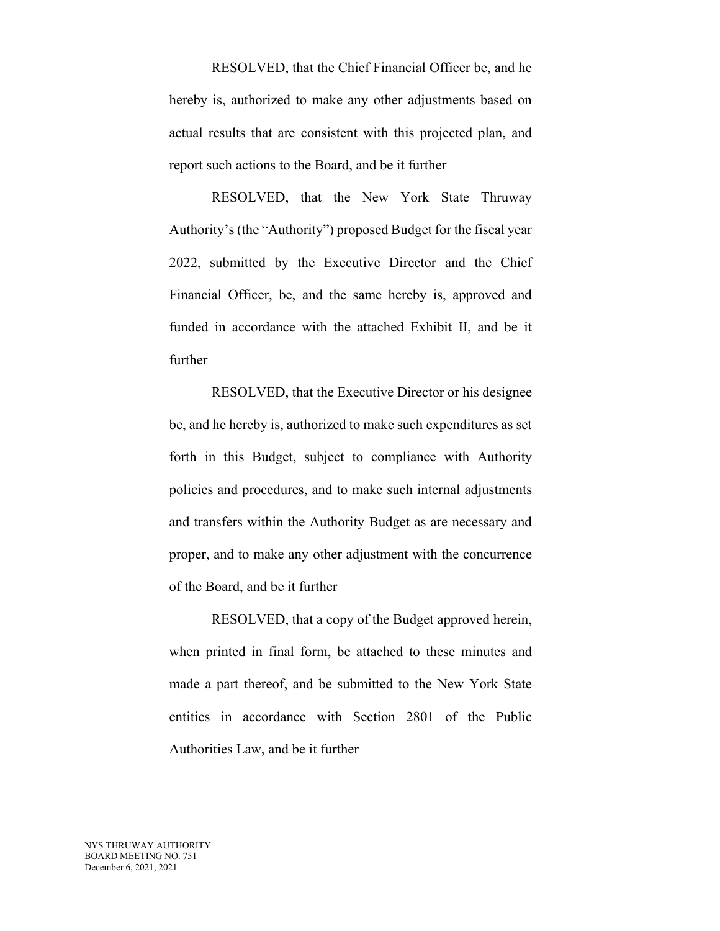RESOLVED, that the Chief Financial Officer be, and he hereby is, authorized to make any other adjustments based on actual results that are consistent with this projected plan, and report such actions to the Board, and be it further

RESOLVED, that the New York State Thruway Authority's (the "Authority") proposed Budget for the fiscal year 2022, submitted by the Executive Director and the Chief Financial Officer, be, and the same hereby is, approved and funded in accordance with the attached Exhibit II, and be it further

RESOLVED, that the Executive Director or his designee be, and he hereby is, authorized to make such expenditures as set forth in this Budget, subject to compliance with Authority policies and procedures, and to make such internal adjustments and transfers within the Authority Budget as are necessary and proper, and to make any other adjustment with the concurrence of the Board, and be it further

RESOLVED, that a copy of the Budget approved herein, when printed in final form, be attached to these minutes and made a part thereof, and be submitted to the New York State entities in accordance with Section 2801 of the Public Authorities Law, and be it further

NYS THRUWAY AUTHORITY BOARD MEETING NO. 751 December 6, 2021, 2021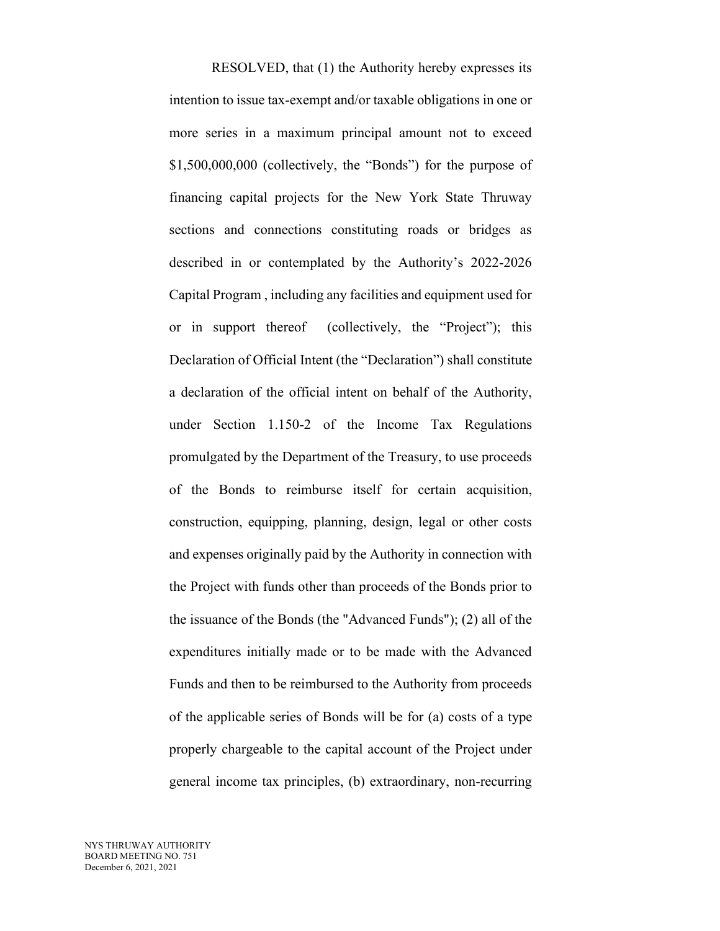RESOLVED, that (1) the Authority hereby expresses its intention to issue tax-exempt and/or taxable obligations in one or more series in a maximum principal amount not to exceed \$1,500,000,000 (collectively, the "Bonds") for the purpose of financing capital projects for the New York State Thruway sections and connections constituting roads or bridges as described in or contemplated by the Authority's 2022-2026 Capital Program , including any facilities and equipment used for or in support thereof (collectively, the "Project"); this Declaration of Official Intent (the "Declaration") shall constitute a declaration of the official intent on behalf of the Authority, under Section 1.150-2 of the Income Tax Regulations promulgated by the Department of the Treasury, to use proceeds of the Bonds to reimburse itself for certain acquisition, construction, equipping, planning, design, legal or other costs and expenses originally paid by the Authority in connection with the Project with funds other than proceeds of the Bonds prior to the issuance of the Bonds (the "Advanced Funds"); (2) all of the expenditures initially made or to be made with the Advanced Funds and then to be reimbursed to the Authority from proceeds of the applicable series of Bonds will be for (a) costs of a type properly chargeable to the capital account of the Project under general income tax principles, (b) extraordinary, non-recurring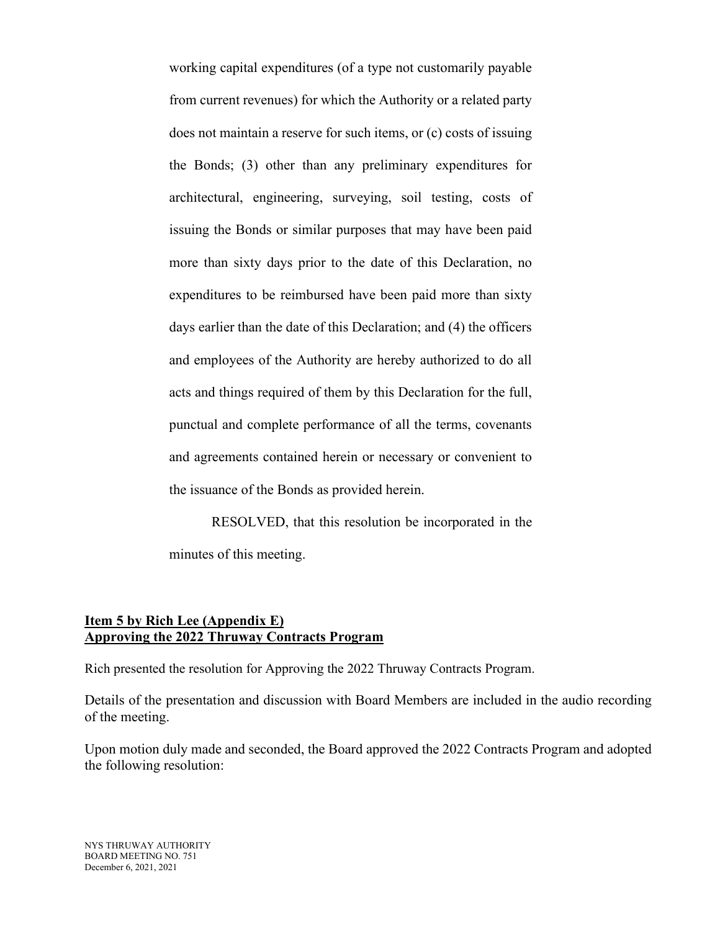working capital expenditures (of a type not customarily payable from current revenues) for which the Authority or a related party does not maintain a reserve for such items, or (c) costs of issuing the Bonds; (3) other than any preliminary expenditures for architectural, engineering, surveying, soil testing, costs of issuing the Bonds or similar purposes that may have been paid more than sixty days prior to the date of this Declaration, no expenditures to be reimbursed have been paid more than sixty days earlier than the date of this Declaration; and (4) the officers and employees of the Authority are hereby authorized to do all acts and things required of them by this Declaration for the full, punctual and complete performance of all the terms, covenants and agreements contained herein or necessary or convenient to the issuance of the Bonds as provided herein.

RESOLVED, that this resolution be incorporated in the minutes of this meeting.

## **Item 5 by Rich Lee (Appendix E) Approving the 2022 Thruway Contracts Program**

Rich presented the resolution for Approving the 2022 Thruway Contracts Program.

Details of the presentation and discussion with Board Members are included in the audio recording of the meeting.

Upon motion duly made and seconded, the Board approved the 2022 Contracts Program and adopted the following resolution: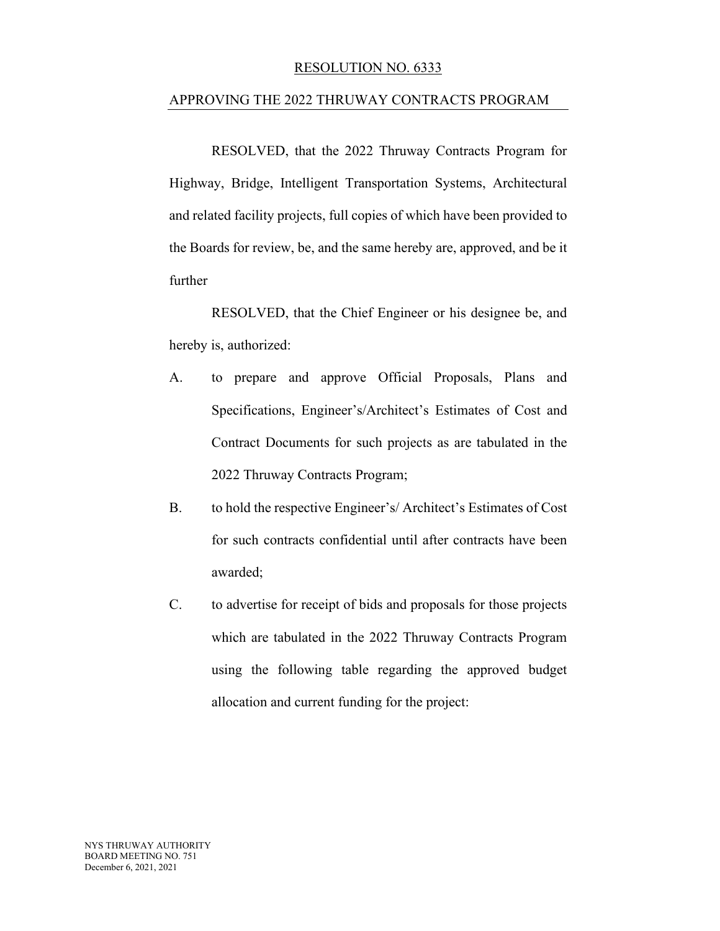#### RESOLUTION NO. 6333

#### APPROVING THE 2022 THRUWAY CONTRACTS PROGRAM

RESOLVED, that the 2022 Thruway Contracts Program for Highway, Bridge, Intelligent Transportation Systems, Architectural and related facility projects, full copies of which have been provided to the Boards for review, be, and the same hereby are, approved, and be it further

RESOLVED, that the Chief Engineer or his designee be, and hereby is, authorized:

- A. to prepare and approve Official Proposals, Plans and Specifications, Engineer's/Architect's Estimates of Cost and Contract Documents for such projects as are tabulated in the 2022 Thruway Contracts Program;
- B. to hold the respective Engineer's/ Architect's Estimates of Cost for such contracts confidential until after contracts have been awarded;
- C. to advertise for receipt of bids and proposals for those projects which are tabulated in the 2022 Thruway Contracts Program using the following table regarding the approved budget allocation and current funding for the project: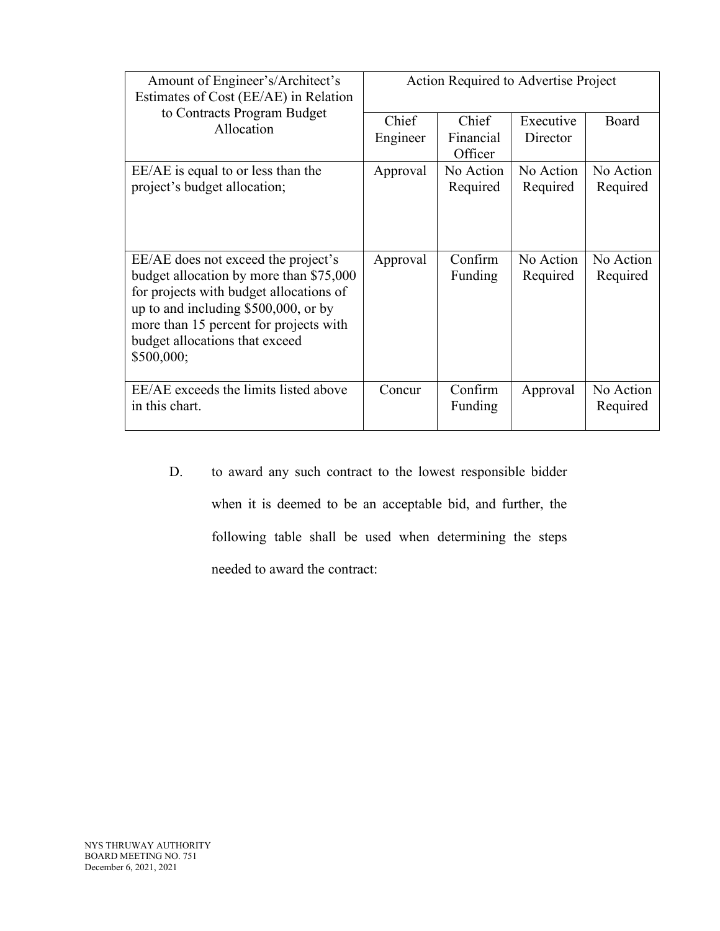| Amount of Engineer's/Architect's<br>Estimates of Cost (EE/AE) in Relation                                                                                                                                                                                   | Action Required to Advertise Project |                               |                       |                       |
|-------------------------------------------------------------------------------------------------------------------------------------------------------------------------------------------------------------------------------------------------------------|--------------------------------------|-------------------------------|-----------------------|-----------------------|
| to Contracts Program Budget<br>Allocation                                                                                                                                                                                                                   | Chief<br>Engineer                    | Chief<br>Financial<br>Officer | Executive<br>Director | Board                 |
| EE/AE is equal to or less than the<br>project's budget allocation;                                                                                                                                                                                          | Approval                             | No Action<br>Required         | No Action<br>Required | No Action<br>Required |
| EE/AE does not exceed the project's<br>budget allocation by more than \$75,000<br>for projects with budget allocations of<br>up to and including \$500,000, or by<br>more than 15 percent for projects with<br>budget allocations that exceed<br>\$500,000; | Approval                             | Confirm<br>Funding            | No Action<br>Required | No Action<br>Required |
| EE/AE exceeds the limits listed above<br>in this chart.                                                                                                                                                                                                     | Concur                               | Confirm<br>Funding            | Approval              | No Action<br>Required |

D. to award any such contract to the lowest responsible bidder when it is deemed to be an acceptable bid, and further, the following table shall be used when determining the steps needed to award the contract: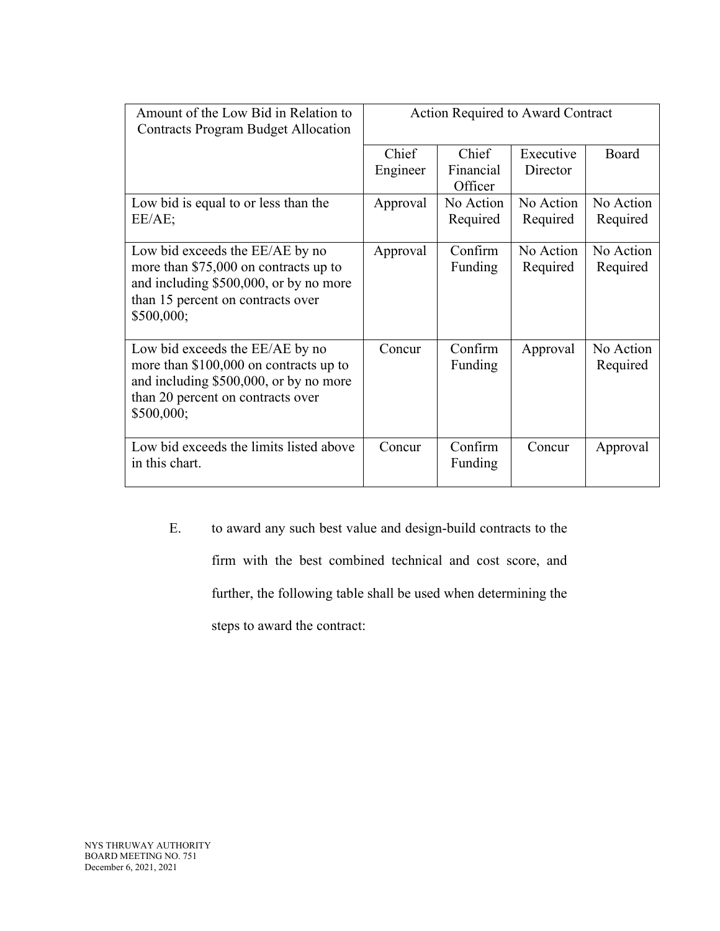| Amount of the Low Bid in Relation to<br><b>Contracts Program Budget Allocation</b>                                                                                      | <b>Action Required to Award Contract</b> |                               |                       |                       |
|-------------------------------------------------------------------------------------------------------------------------------------------------------------------------|------------------------------------------|-------------------------------|-----------------------|-----------------------|
|                                                                                                                                                                         | Chief<br>Engineer                        | Chief<br>Financial<br>Officer | Executive<br>Director | Board                 |
| Low bid is equal to or less than the<br>EE/AE;                                                                                                                          | Approval                                 | No Action<br>Required         | No Action<br>Required | No Action<br>Required |
| Low bid exceeds the EE/AE by no<br>more than \$75,000 on contracts up to<br>and including \$500,000, or by no more<br>than 15 percent on contracts over<br>\$500,000;   | Approval                                 | Confirm<br>Funding            | No Action<br>Required | No Action<br>Required |
| Low bid exceeds the EE/AE by no<br>more than $$100,000$ on contracts up to<br>and including \$500,000, or by no more<br>than 20 percent on contracts over<br>\$500,000; | Concur                                   | Confirm<br>Funding            | Approval              | No Action<br>Required |
| Low bid exceeds the limits listed above<br>in this chart.                                                                                                               | Concur                                   | Confirm<br>Funding            | Concur                | Approval              |

E. to award any such best value and design-build contracts to the

firm with the best combined technical and cost score, and

further, the following table shall be used when determining the

steps to award the contract: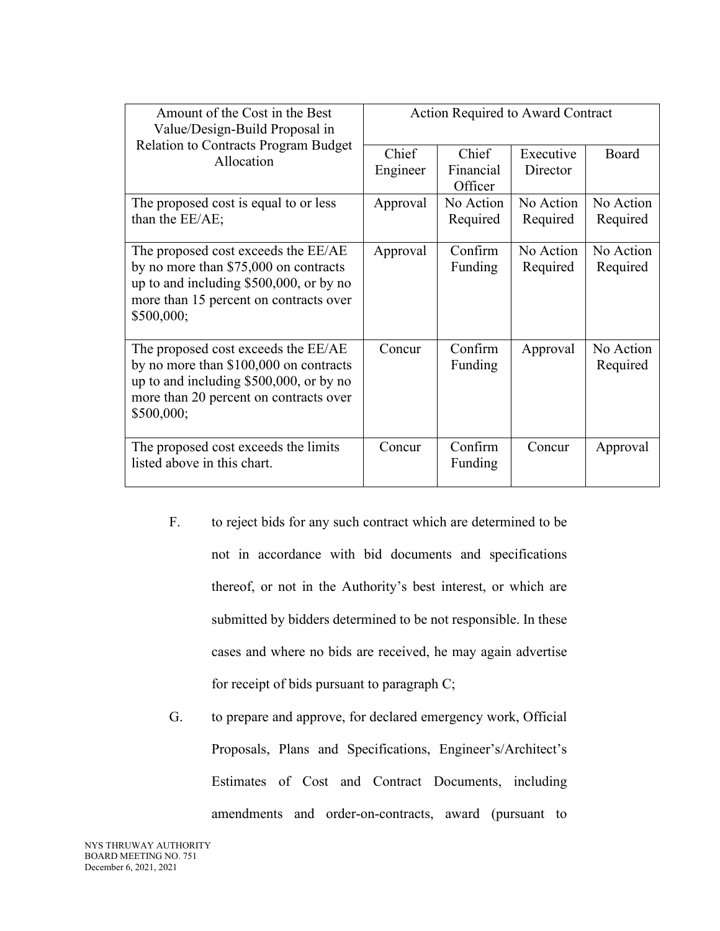| Amount of the Cost in the Best<br>Value/Design-Build Proposal in                                                                                                                   | Action Required to Award Contract |                               |                       |                       |
|------------------------------------------------------------------------------------------------------------------------------------------------------------------------------------|-----------------------------------|-------------------------------|-----------------------|-----------------------|
| <b>Relation to Contracts Program Budget</b><br>Allocation                                                                                                                          | Chief<br>Engineer                 | Chief<br>Financial<br>Officer | Executive<br>Director | Board                 |
| The proposed cost is equal to or less<br>than the EE/AE;                                                                                                                           | Approval                          | No Action<br>Required         | No Action<br>Required | No Action<br>Required |
| The proposed cost exceeds the EE/AE<br>by no more than \$75,000 on contracts<br>up to and including $$500,000$ , or by no<br>more than 15 percent on contracts over<br>\$500,000;  | Approval                          | Confirm<br>Funding            | No Action<br>Required | No Action<br>Required |
| The proposed cost exceeds the EE/AE<br>by no more than \$100,000 on contracts<br>up to and including $$500,000$ , or by no<br>more than 20 percent on contracts over<br>\$500,000; | Concur                            | Confirm<br>Funding            | Approval              | No Action<br>Required |
| The proposed cost exceeds the limits<br>listed above in this chart.                                                                                                                | Concur                            | Confirm<br>Funding            | Concur                | Approval              |

- F. to reject bids for any such contract which are determined to be not in accordance with bid documents and specifications thereof, or not in the Authority's best interest, or which are submitted by bidders determined to be not responsible. In these cases and where no bids are received, he may again advertise for receipt of bids pursuant to paragraph C;
- G. to prepare and approve, for declared emergency work, Official Proposals, Plans and Specifications, Engineer's/Architect's Estimates of Cost and Contract Documents, including amendments and order-on-contracts, award (pursuant to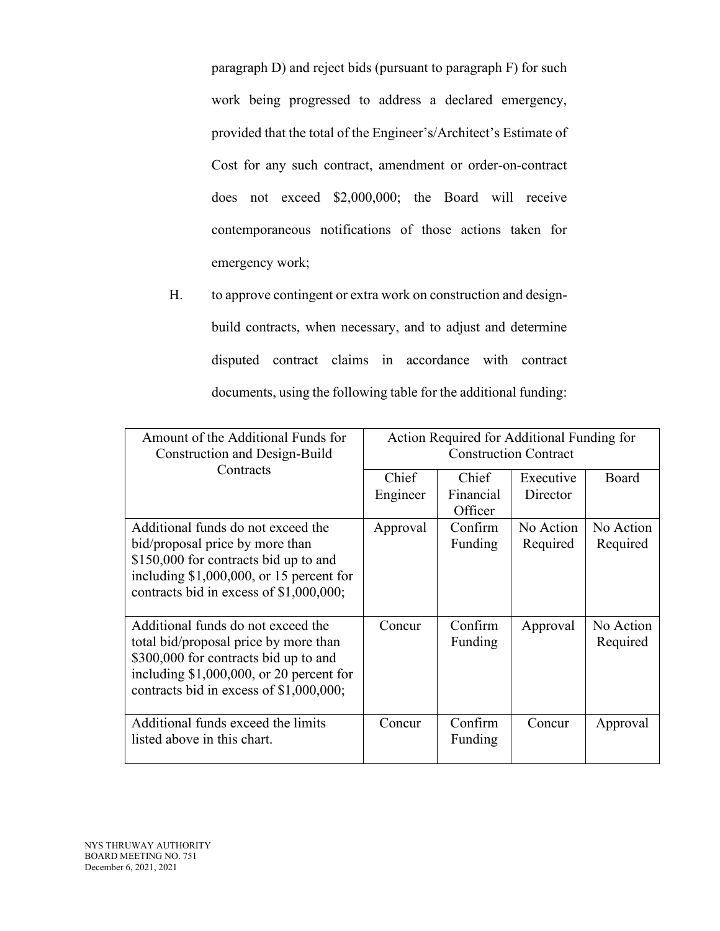paragraph D) and reject bids (pursuant to paragraph F) for such work being progressed to address a declared emergency, provided that the total of the Engineer's/Architect's Estimate of Cost for any such contract, amendment or order-on-contract does not exceed \$2,000,000; the Board will receive contemporaneous notifications of those actions taken for emergency work;

H. to approve contingent or extra work on construction and designbuild contracts, when necessary, and to adjust and determine disputed contract claims in accordance with contract documents, using the following table for the additional funding:

| Amount of the Additional Funds for<br>Construction and Design-Build | Action Required for Additional Funding for<br><b>Construction Contract</b> |                      |           |           |
|---------------------------------------------------------------------|----------------------------------------------------------------------------|----------------------|-----------|-----------|
| Contracts                                                           | Chief                                                                      | Chief                | Executive | Board     |
|                                                                     | Engineer                                                                   | Financial<br>Officer | Director  |           |
| Additional funds do not exceed the                                  | Approval                                                                   | Confirm              | No Action | No Action |
| bid/proposal price by more than                                     |                                                                            | Funding              | Required  | Required  |
| \$150,000 for contracts bid up to and                               |                                                                            |                      |           |           |
| including $$1,000,000$ , or 15 percent for                          |                                                                            |                      |           |           |
| contracts bid in excess of \$1,000,000;                             |                                                                            |                      |           |           |
| Additional funds do not exceed the                                  | Concur                                                                     | Confirm              | Approval  | No Action |
| total bid/proposal price by more than                               |                                                                            | Funding              |           | Required  |
| \$300,000 for contracts bid up to and                               |                                                                            |                      |           |           |
| including $$1,000,000$ , or 20 percent for                          |                                                                            |                      |           |           |
| contracts bid in excess of \$1,000,000;                             |                                                                            |                      |           |           |
|                                                                     |                                                                            |                      |           |           |
| Additional funds exceed the limits                                  | Concur                                                                     | Confirm              | Concur    | Approval  |
| listed above in this chart.                                         |                                                                            | Funding              |           |           |
|                                                                     |                                                                            |                      |           |           |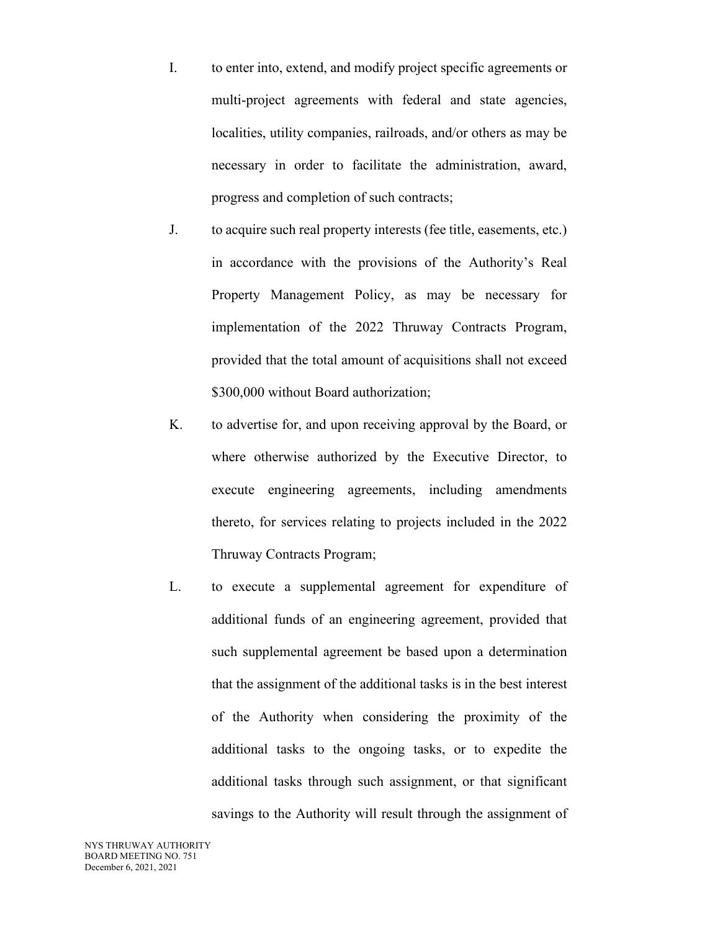- I. to enter into, extend, and modify project specific agreements or multi-project agreements with federal and state agencies, localities, utility companies, railroads, and/or others as may be necessary in order to facilitate the administration, award, progress and completion of such contracts;
- J. to acquire such real property interests (fee title, easements, etc.) in accordance with the provisions of the Authority's Real Property Management Policy, as may be necessary for implementation of the 2022 Thruway Contracts Program, provided that the total amount of acquisitions shall not exceed \$300,000 without Board authorization;
- K. to advertise for, and upon receiving approval by the Board, or where otherwise authorized by the Executive Director, to execute engineering agreements, including amendments thereto, for services relating to projects included in the 2022 Thruway Contracts Program;
- L. to execute a supplemental agreement for expenditure of additional funds of an engineering agreement, provided that such supplemental agreement be based upon a determination that the assignment of the additional tasks is in the best interest of the Authority when considering the proximity of the additional tasks to the ongoing tasks, or to expedite the additional tasks through such assignment, or that significant savings to the Authority will result through the assignment of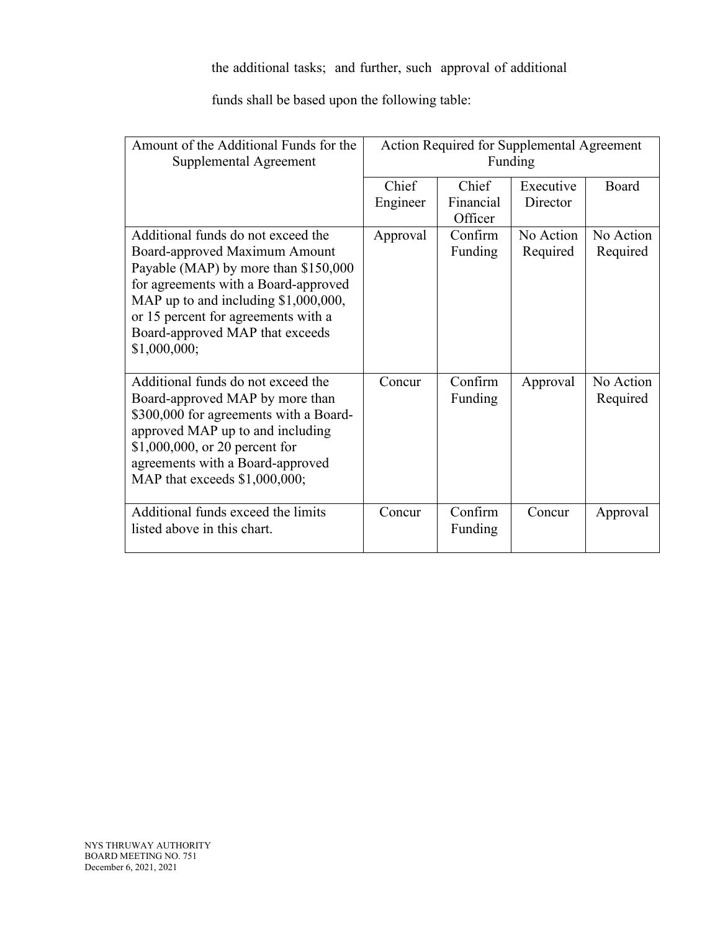# the additional tasks; and further, such approval of additional

funds shall be based upon the following table:

| Amount of the Additional Funds for the<br>Supplemental Agreement                                                                                                                                                                                                                        | Action Required for Supplemental Agreement<br>Funding |                               |                       |                       |
|-----------------------------------------------------------------------------------------------------------------------------------------------------------------------------------------------------------------------------------------------------------------------------------------|-------------------------------------------------------|-------------------------------|-----------------------|-----------------------|
|                                                                                                                                                                                                                                                                                         | Chief<br>Engineer                                     | Chief<br>Financial<br>Officer | Executive<br>Director | Board                 |
| Additional funds do not exceed the<br>Board-approved Maximum Amount<br>Payable (MAP) by more than \$150,000<br>for agreements with a Board-approved<br>MAP up to and including $$1,000,000$ ,<br>or 15 percent for agreements with a<br>Board-approved MAP that exceeds<br>\$1,000,000; | Approval                                              | Confirm<br>Funding            | No Action<br>Required | No Action<br>Required |
| Additional funds do not exceed the<br>Board-approved MAP by more than<br>\$300,000 for agreements with a Board-<br>approved MAP up to and including<br>\$1,000,000, or 20 percent for<br>agreements with a Board-approved<br>MAP that exceeds \$1,000,000;                              | Concur                                                | Confirm<br>Funding            | Approval              | No Action<br>Required |
| Additional funds exceed the limits<br>listed above in this chart.                                                                                                                                                                                                                       | Concur                                                | Confirm<br>Funding            | Concur                | Approval              |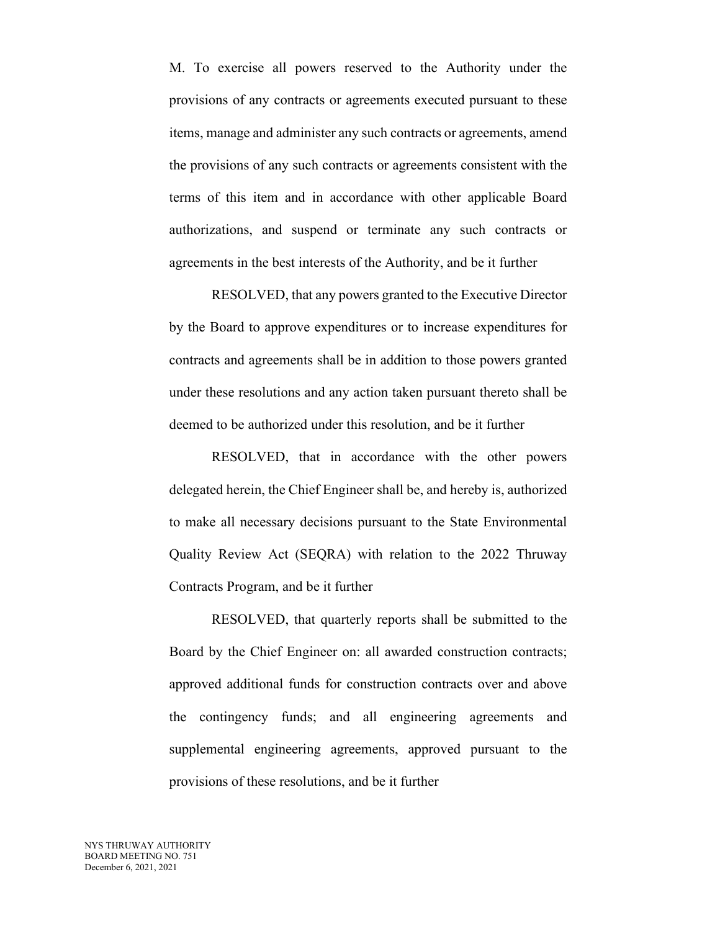M. To exercise all powers reserved to the Authority under the provisions of any contracts or agreements executed pursuant to these items, manage and administer any such contracts or agreements, amend the provisions of any such contracts or agreements consistent with the terms of this item and in accordance with other applicable Board authorizations, and suspend or terminate any such contracts or agreements in the best interests of the Authority, and be it further

RESOLVED, that any powers granted to the Executive Director by the Board to approve expenditures or to increase expenditures for contracts and agreements shall be in addition to those powers granted under these resolutions and any action taken pursuant thereto shall be deemed to be authorized under this resolution, and be it further

RESOLVED, that in accordance with the other powers delegated herein, the Chief Engineer shall be, and hereby is, authorized to make all necessary decisions pursuant to the State Environmental Quality Review Act (SEQRA) with relation to the 2022 Thruway Contracts Program, and be it further

RESOLVED, that quarterly reports shall be submitted to the Board by the Chief Engineer on: all awarded construction contracts; approved additional funds for construction contracts over and above the contingency funds; and all engineering agreements and supplemental engineering agreements, approved pursuant to the provisions of these resolutions, and be it further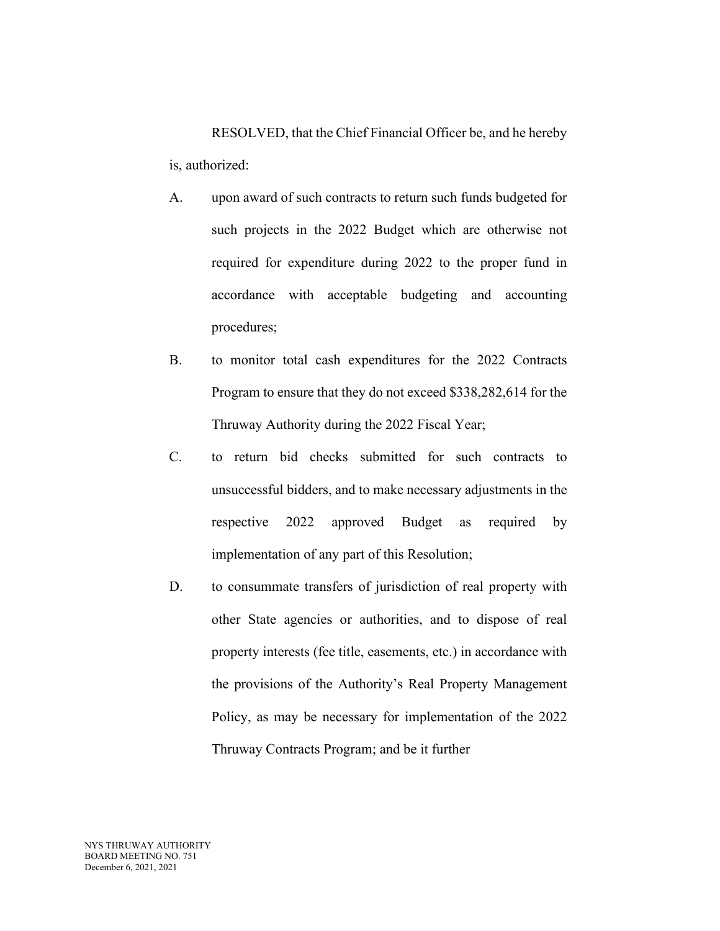RESOLVED, that the Chief Financial Officer be, and he hereby is, authorized:

- A. upon award of such contracts to return such funds budgeted for such projects in the 2022 Budget which are otherwise not required for expenditure during 2022 to the proper fund in accordance with acceptable budgeting and accounting procedures;
- B. to monitor total cash expenditures for the 2022 Contracts Program to ensure that they do not exceed \$338,282,614 for the Thruway Authority during the 2022 Fiscal Year;
- C. to return bid checks submitted for such contracts to unsuccessful bidders, and to make necessary adjustments in the respective 2022 approved Budget as required by implementation of any part of this Resolution;
- D. to consummate transfers of jurisdiction of real property with other State agencies or authorities, and to dispose of real property interests (fee title, easements, etc.) in accordance with the provisions of the Authority's Real Property Management Policy, as may be necessary for implementation of the 2022 Thruway Contracts Program; and be it further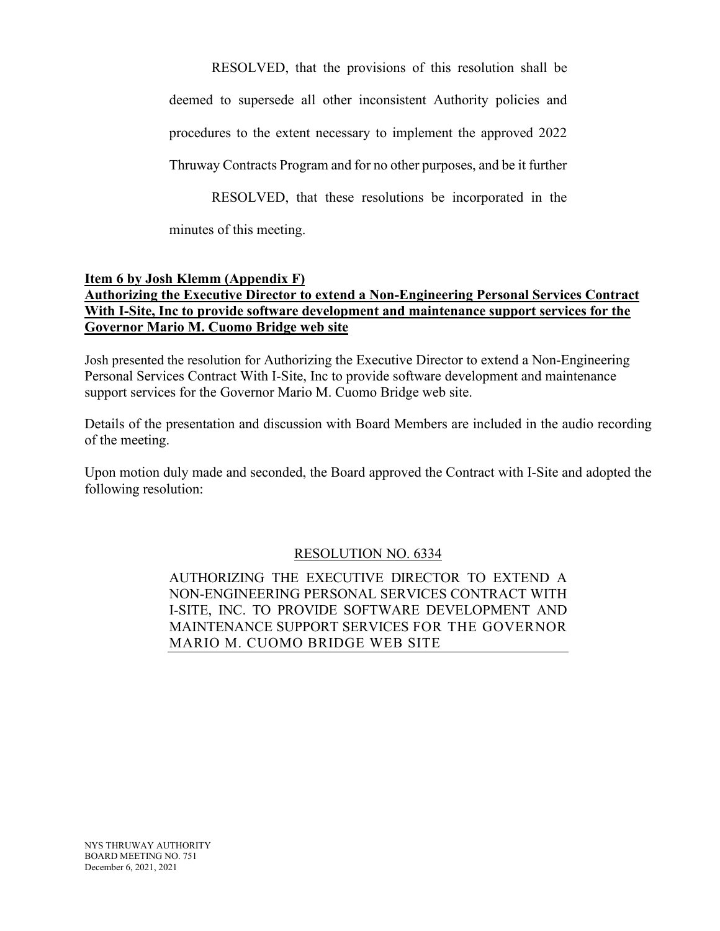RESOLVED, that the provisions of this resolution shall be

deemed to supersede all other inconsistent Authority policies and

procedures to the extent necessary to implement the approved 2022

Thruway Contracts Program and for no other purposes, and be it further

RESOLVED, that these resolutions be incorporated in the

minutes of this meeting.

# **Item 6 by Josh Klemm (Appendix F)**

# **Authorizing the Executive Director to extend a Non-Engineering Personal Services Contract With I-Site, Inc to provide software development and maintenance support services for the Governor Mario M. Cuomo Bridge web site**

Josh presented the resolution for Authorizing the Executive Director to extend a Non-Engineering Personal Services Contract With I-Site, Inc to provide software development and maintenance support services for the Governor Mario M. Cuomo Bridge web site.

Details of the presentation and discussion with Board Members are included in the audio recording of the meeting.

Upon motion duly made and seconded, the Board approved the Contract with I-Site and adopted the following resolution:

# RESOLUTION NO. 6334

AUTHORIZING THE EXECUTIVE DIRECTOR TO EXTEND A NON-ENGINEERING PERSONAL SERVICES CONTRACT WITH I-SITE, INC. TO PROVIDE SOFTWARE DEVELOPMENT AND MAINTENANCE SUPPORT SERVICES FOR THE GOVERNOR MARIO M. CUOMO BRIDGE WEB SITE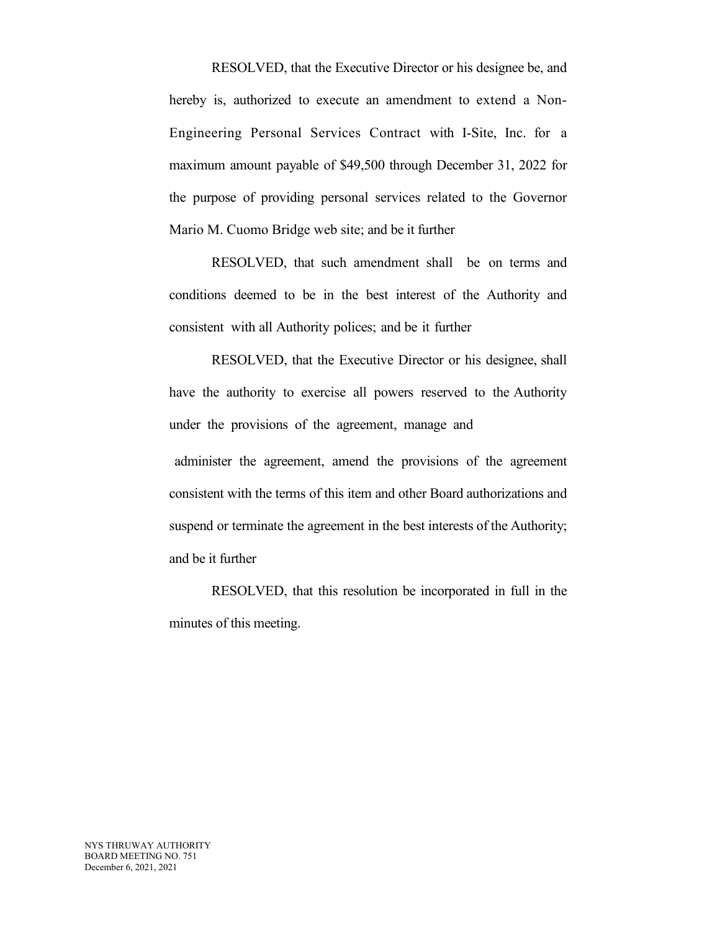RESOLVED, that the Executive Director or his designee be, and hereby is, authorized to execute an amendment to extend a Non-Engineering Personal Services Contract with I-Site, Inc. for a maximum amount payable of \$49,500 through December 31, 2022 for the purpose of providing personal services related to the Governor Mario M. Cuomo Bridge web site; and be it further

RESOLVED, that such amendment shall be on terms and conditions deemed to be in the best interest of the Authority and consistent with all Authority polices; and be it further

RESOLVED, that the Executive Director or his designee, shall have the authority to exercise all powers reserved to the Authority under the provisions of the agreement, manage and

administer the agreement, amend the provisions of the agreement consistent with the terms of this item and other Board authorizations and suspend or terminate the agreement in the best interests of the Authority; and be it further

RESOLVED, that this resolution be incorporated in full in the minutes of this meeting.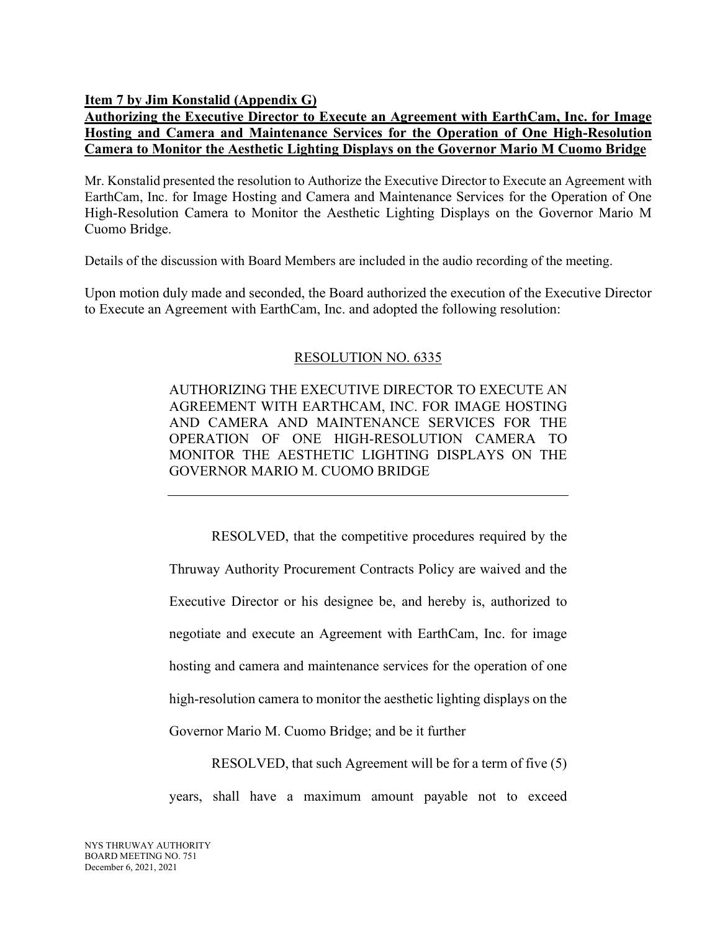**Item 7 by Jim Konstalid (Appendix G)**

# **Authorizing the Executive Director to Execute an Agreement with EarthCam, Inc. for Image Hosting and Camera and Maintenance Services for the Operation of One High-Resolution Camera to Monitor the Aesthetic Lighting Displays on the Governor Mario M Cuomo Bridge**

Mr. Konstalid presented the resolution to Authorize the Executive Director to Execute an Agreement with EarthCam, Inc. for Image Hosting and Camera and Maintenance Services for the Operation of One High-Resolution Camera to Monitor the Aesthetic Lighting Displays on the Governor Mario M Cuomo Bridge.

Details of the discussion with Board Members are included in the audio recording of the meeting.

Upon motion duly made and seconded, the Board authorized the execution of the Executive Director to Execute an Agreement with EarthCam, Inc. and adopted the following resolution:

### RESOLUTION NO. 6335

AUTHORIZING THE EXECUTIVE DIRECTOR TO EXECUTE AN AGREEMENT WITH EARTHCAM, INC. FOR IMAGE HOSTING AND CAMERA AND MAINTENANCE SERVICES FOR THE OPERATION OF ONE HIGH-RESOLUTION CAMERA TO MONITOR THE AESTHETIC LIGHTING DISPLAYS ON THE GOVERNOR MARIO M. CUOMO BRIDGE

RESOLVED, that the competitive procedures required by the Thruway Authority Procurement Contracts Policy are waived and the Executive Director or his designee be, and hereby is, authorized to negotiate and execute an Agreement with EarthCam, Inc. for image hosting and camera and maintenance services for the operation of one high-resolution camera to monitor the aesthetic lighting displays on the Governor Mario M. Cuomo Bridge; and be it further

RESOLVED, that such Agreement will be for a term of five (5)

years, shall have a maximum amount payable not to exceed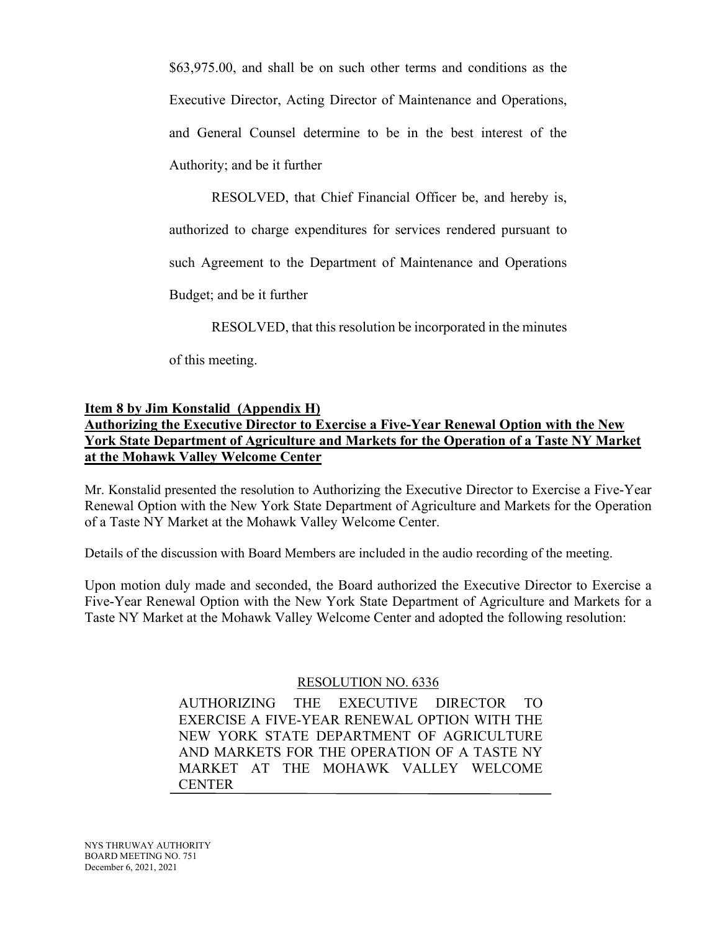\$63,975.00, and shall be on such other terms and conditions as the Executive Director, Acting Director of Maintenance and Operations, and General Counsel determine to be in the best interest of the Authority; and be it further

RESOLVED, that Chief Financial Officer be, and hereby is,

authorized to charge expenditures for services rendered pursuant to

such Agreement to the Department of Maintenance and Operations

Budget; and be it further

RESOLVED, that this resolution be incorporated in the minutes

of this meeting.

# **Item 8 by Jim Konstalid (Appendix H) Authorizing the Executive Director to Exercise a Five-Year Renewal Option with the New York State Department of Agriculture and Markets for the Operation of a Taste NY Market at the Mohawk Valley Welcome Center**

Mr. Konstalid presented the resolution to Authorizing the Executive Director to Exercise a Five-Year Renewal Option with the New York State Department of Agriculture and Markets for the Operation of a Taste NY Market at the Mohawk Valley Welcome Center.

Details of the discussion with Board Members are included in the audio recording of the meeting.

Upon motion duly made and seconded, the Board authorized the Executive Director to Exercise a Five-Year Renewal Option with the New York State Department of Agriculture and Markets for a Taste NY Market at the Mohawk Valley Welcome Center and adopted the following resolution:

# RESOLUTION NO. 6336

AUTHORIZING THE EXECUTIVE DIRECTOR TO EXERCISE A FIVE-YEAR RENEWAL OPTION WITH THE NEW YORK STATE DEPARTMENT OF AGRICULTURE AND MARKETS FOR THE OPERATION OF A TASTE NY MARKET AT THE MOHAWK VALLEY WELCOME **CENTER**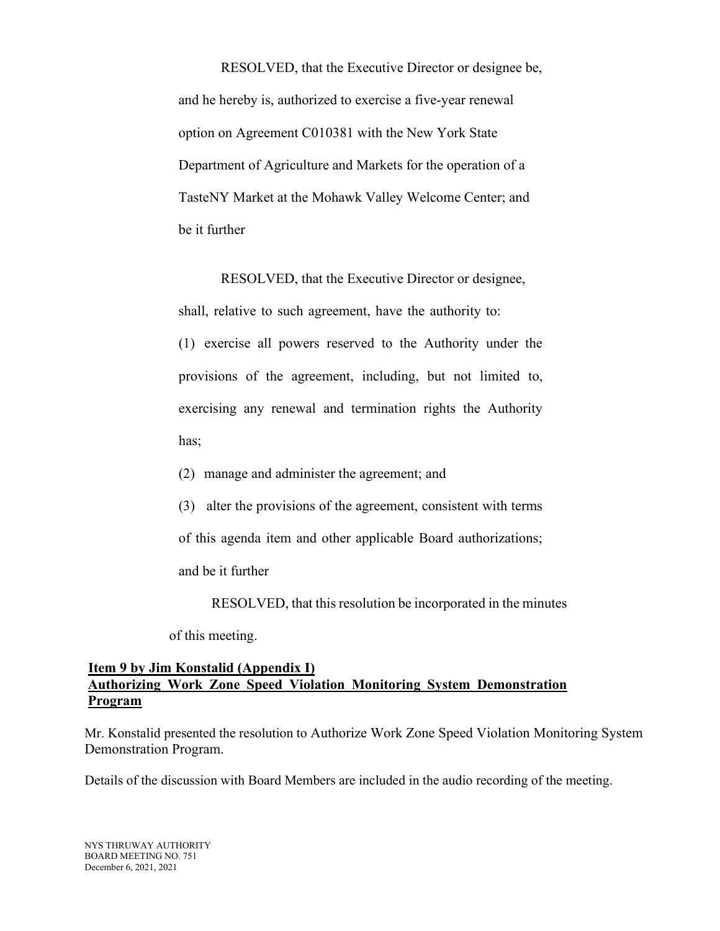RESOLVED, that the Executive Director or designee be, and he hereby is, authorized to exercise a five-year renewal option on Agreement C010381 with the New York State Department of Agriculture and Markets for the operation of a TasteNY Market at the Mohawk Valley Welcome Center; and be it further

RESOLVED, that the Executive Director or designee,

shall, relative to such agreement, have the authority to:

(1) exercise all powers reserved to the Authority under the provisions of the agreement, including, but not limited to, exercising any renewal and termination rights the Authority has;

(2) manage and administer the agreement; and

(3) alter the provisions of the agreement, consistent with terms

of this agenda item and other applicable Board authorizations;

and be it further

RESOLVED, that this resolution be incorporated in the minutes

of this meeting.

#### **Item 9 by Jim Konstalid (Appendix I) Authorizing Work Zone Speed Violation Monitoring System Demonstration Program**

Mr. Konstalid presented the resolution to Authorize Work Zone Speed Violation Monitoring System Demonstration Program.

Details of the discussion with Board Members are included in the audio recording of the meeting.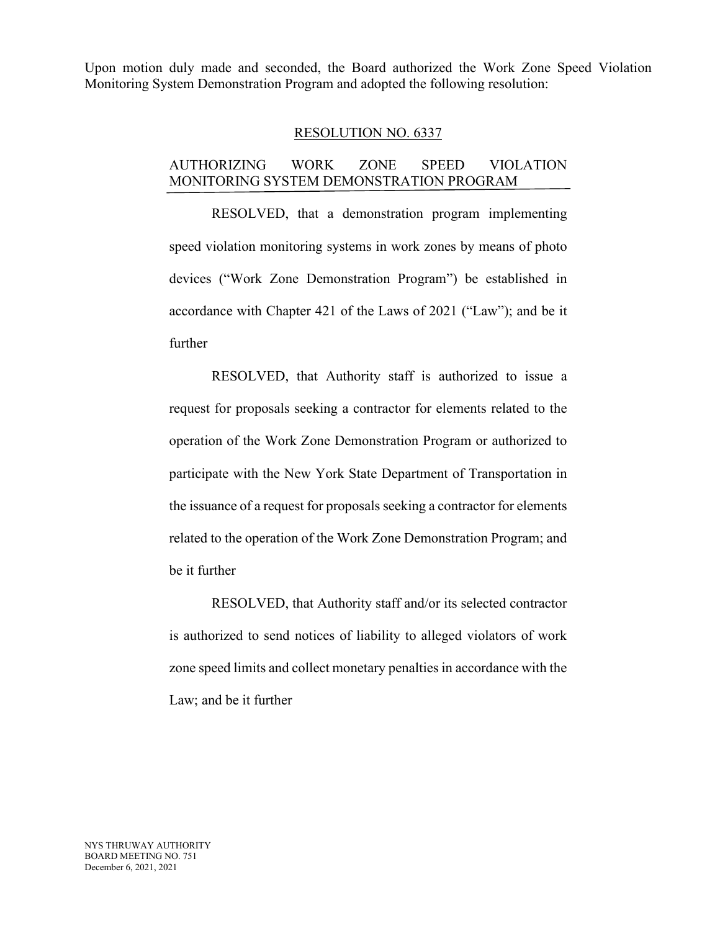Upon motion duly made and seconded, the Board authorized the Work Zone Speed Violation Monitoring System Demonstration Program and adopted the following resolution:

#### RESOLUTION NO. 6337

#### AUTHORIZING WORK ZONE SPEED VIOLATION MONITORING SYSTEM DEMONSTRATION PROGRAM

RESOLVED, that a demonstration program implementing speed violation monitoring systems in work zones by means of photo devices ("Work Zone Demonstration Program") be established in accordance with Chapter 421 of the Laws of 2021 ("Law"); and be it further

RESOLVED, that Authority staff is authorized to issue a request for proposals seeking a contractor for elements related to the operation of the Work Zone Demonstration Program or authorized to participate with the New York State Department of Transportation in the issuance of a request for proposals seeking a contractor for elements related to the operation of the Work Zone Demonstration Program; and be it further

RESOLVED, that Authority staff and/or its selected contractor is authorized to send notices of liability to alleged violators of work zone speed limits and collect monetary penalties in accordance with the Law; and be it further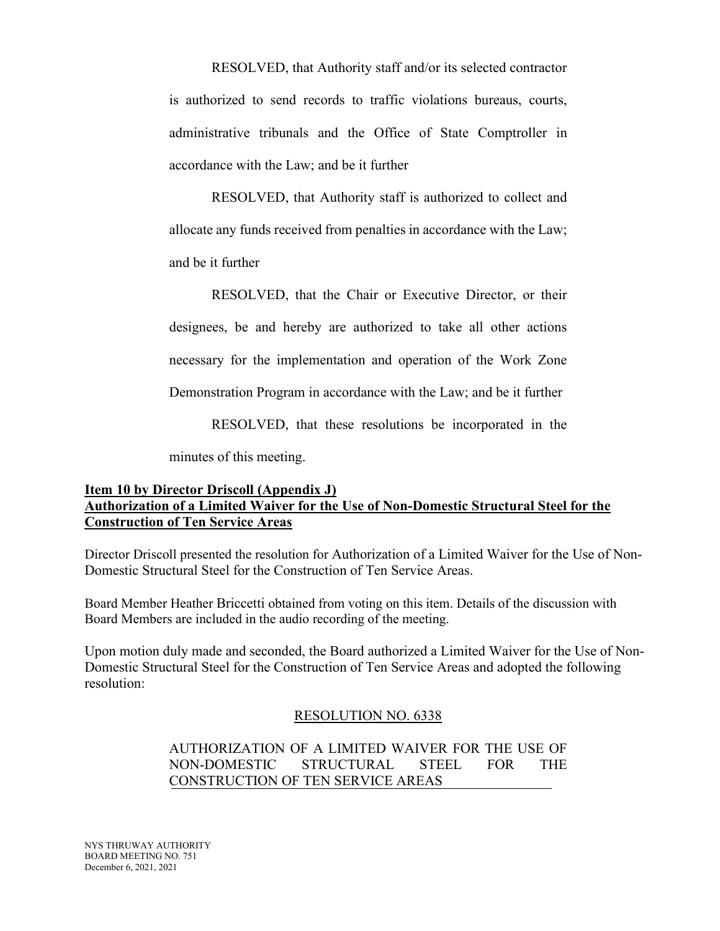RESOLVED, that Authority staff and/or its selected contractor is authorized to send records to traffic violations bureaus, courts, administrative tribunals and the Office of State Comptroller in accordance with the Law; and be it further

RESOLVED, that Authority staff is authorized to collect and allocate any funds received from penalties in accordance with the Law; and be it further

RESOLVED, that the Chair or Executive Director, or their designees, be and hereby are authorized to take all other actions necessary for the implementation and operation of the Work Zone Demonstration Program in accordance with the Law; and be it further

RESOLVED, that these resolutions be incorporated in the

minutes of this meeting.

## **Item 10 by Director Driscoll (Appendix J) Authorization of a Limited Waiver for the Use of Non-Domestic Structural Steel for the Construction of Ten Service Areas**

Director Driscoll presented the resolution for Authorization of a Limited Waiver for the Use of Non-Domestic Structural Steel for the Construction of Ten Service Areas.

Board Member Heather Briccetti obtained from voting on this item. Details of the discussion with Board Members are included in the audio recording of the meeting.

Upon motion duly made and seconded, the Board authorized a Limited Waiver for the Use of Non-Domestic Structural Steel for the Construction of Ten Service Areas and adopted the following resolution:

#### RESOLUTION NO. 6338

# AUTHORIZATION OF A LIMITED WAIVER FOR THE USE OF NON-DOMESTIC STRUCTURAL STEEL FOR THE CONSTRUCTION OF TEN SERVICE AREAS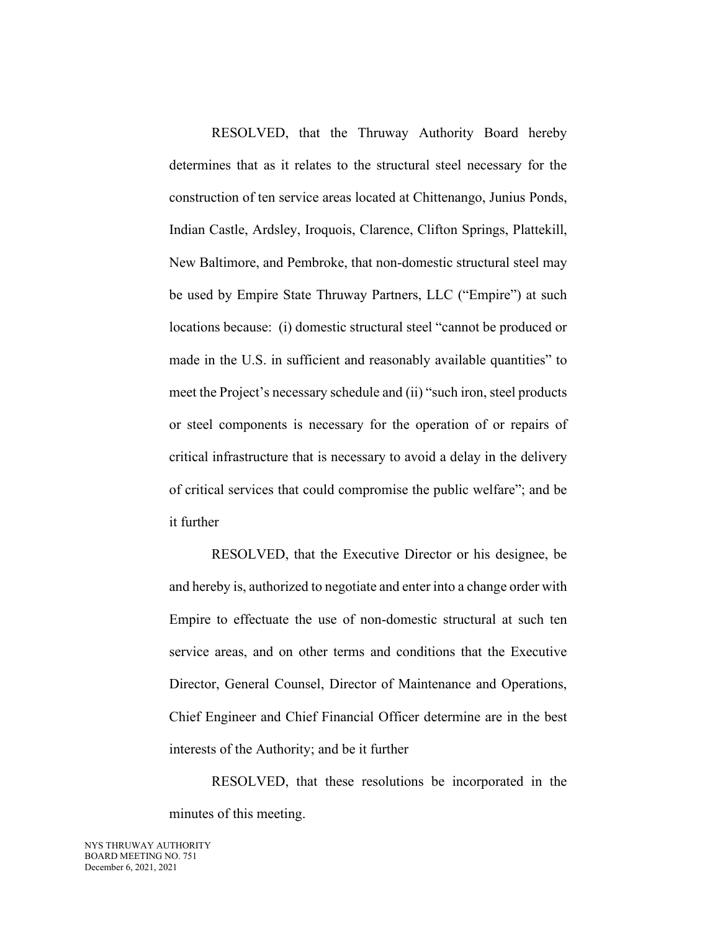RESOLVED, that the Thruway Authority Board hereby determines that as it relates to the structural steel necessary for the construction of ten service areas located at Chittenango, Junius Ponds, Indian Castle, Ardsley, Iroquois, Clarence, Clifton Springs, Plattekill, New Baltimore, and Pembroke, that non-domestic structural steel may be used by Empire State Thruway Partners, LLC ("Empire") at such locations because: (i) domestic structural steel "cannot be produced or made in the U.S. in sufficient and reasonably available quantities" to meet the Project's necessary schedule and (ii) "such iron, steel products or steel components is necessary for the operation of or repairs of critical infrastructure that is necessary to avoid a delay in the delivery of critical services that could compromise the public welfare"; and be it further

RESOLVED, that the Executive Director or his designee, be and hereby is, authorized to negotiate and enter into a change order with Empire to effectuate the use of non-domestic structural at such ten service areas, and on other terms and conditions that the Executive Director, General Counsel, Director of Maintenance and Operations, Chief Engineer and Chief Financial Officer determine are in the best interests of the Authority; and be it further

RESOLVED, that these resolutions be incorporated in the minutes of this meeting.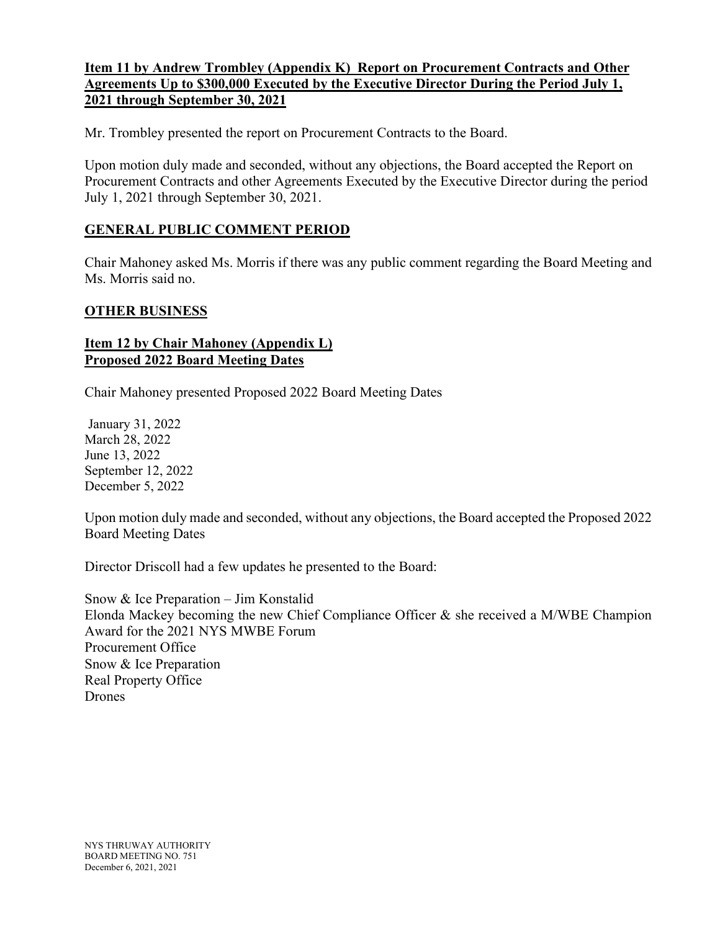# **Item 11 by Andrew Trombley (Appendix K) Report on Procurement Contracts and Other Agreements Up to \$300,000 Executed by the Executive Director During the Period July 1, 2021 through September 30, 2021**

Mr. Trombley presented the report on Procurement Contracts to the Board.

Upon motion duly made and seconded, without any objections, the Board accepted the Report on Procurement Contracts and other Agreements Executed by the Executive Director during the period July 1, 2021 through September 30, 2021.

# **GENERAL PUBLIC COMMENT PERIOD**

Chair Mahoney asked Ms. Morris if there was any public comment regarding the Board Meeting and Ms. Morris said no.

### **OTHER BUSINESS**

### **Item 12 by Chair Mahoney (Appendix L) Proposed 2022 Board Meeting Dates**

Chair Mahoney presented Proposed 2022 Board Meeting Dates

January 31, 2022 March 28, 2022 June 13, 2022 September 12, 2022 December 5, 2022

Upon motion duly made and seconded, without any objections, the Board accepted the Proposed 2022 Board Meeting Dates

Director Driscoll had a few updates he presented to the Board:

Snow & Ice Preparation – Jim Konstalid Elonda Mackey becoming the new Chief Compliance Officer & she received a M/WBE Champion Award for the 2021 NYS MWBE Forum Procurement Office Snow & Ice Preparation Real Property Office Drones